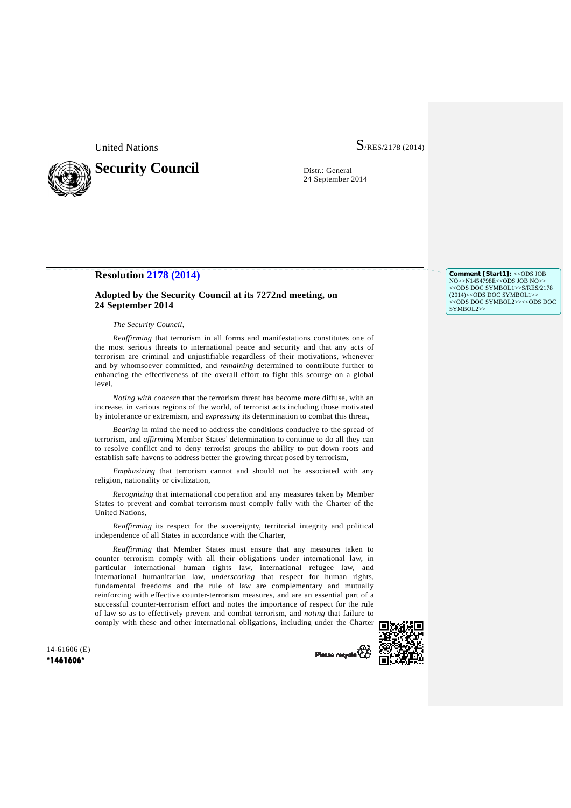

# United Nations S/RES/2178 (2014)

**Security Council** Distr.: General 24 September 2014

## **Resolution 2178 (2014)**

### **Adopted by the Security Council at its 7272nd meeting, on 24 September 2014**

*The Security Council*,

*Reaffirming* that terrorism in all forms and manifestations constitutes one of the most serious threats to international peace and security and that any acts of terrorism are criminal and unjustifiable regardless of their motivations, whenever and by whomsoever committed, and *remaining* determined to contribute further to enhancing the effectiveness of the overall effort to fight this scourge on a global level,

*Noting with concern* that the terrorism threat has become more diffuse, with an increase, in various regions of the world, of terrorist acts including those motivated by intolerance or extremism, and *expressing* its determination to combat this threat,

*Bearing* in mind the need to address the conditions conducive to the spread of terrorism, and *affirming* Member States' determination to continue to do all they can to resolve conflict and to deny terrorist groups the ability to put down roots and establish safe havens to address better the growing threat posed by terrorism,

*Emphasizing* that terrorism cannot and should not be associated with any religion, nationality or civilization,

*Recognizing* that international cooperation and any measures taken by Member States to prevent and combat terrorism must comply fully with the Charter of the United Nations,

*Reaffirming* its respect for the sovereignty, territorial integrity and political independence of all States in accordance with the Charter,

*Reaffirming* that Member States must ensure that any measures taken to counter terrorism comply with all their obligations under international law, in particular international human rights law, international refugee law, and international humanitarian law, *underscoring* that respect for human rights, fundamental freedoms and the rule of law are complementary and mutually reinforcing with effective counter-terrorism measures, and are an essential part of a successful counter-terrorism effort and notes the importance of respect for the rule of law so as to effectively prevent and combat terrorism, and *noting* that failure to comply with these and other international obligations, including under the Charter



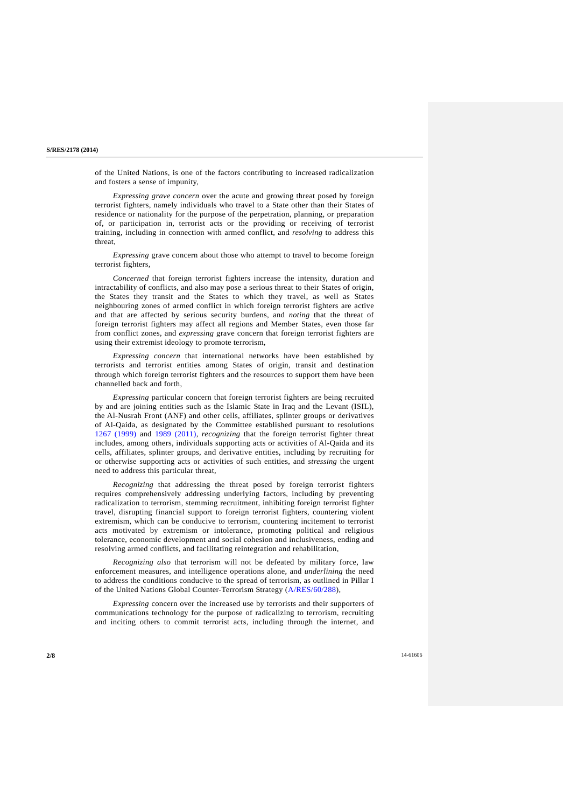of the United Nations, is one of the factors contributing to increased radicalization and fosters a sense of impunity,

*Expressing grave concern* over the acute and growing threat posed by foreign terrorist fighters, namely individuals who travel to a State other than their States of residence or nationality for the purpose of the perpetration, planning, or preparation of, or participation in, terrorist acts or the providing or receiving of terrorist training, including in connection with armed conflict, and *resolving* to address this threat,

*Expressing* grave concern about those who attempt to travel to become foreign terrorist fighters,

*Concerned* that foreign terrorist fighters increase the intensity, duration and intractability of conflicts, and also may pose a serious threat to their States of origin, the States they transit and the States to which they travel, as well as States neighbouring zones of armed conflict in which foreign terrorist fighters are active and that are affected by serious security burdens, and *noting* that the threat of foreign terrorist fighters may affect all regions and Member States, even those far from conflict zones, and *expressing* grave concern that foreign terrorist fighters are using their extremist ideology to promote terrorism,

*Expressing concern* that international networks have been established by terrorists and terrorist entities among States of origin, transit and destination through which foreign terrorist fighters and the resources to support them have been channelled back and forth,

*Expressing* particular concern that foreign terrorist fighters are being recruited by and are joining entities such as the Islamic State in Iraq and the Levant (ISIL), the Al-Nusrah Front (ANF) and other cells, affiliates, splinter groups or derivatives of Al-Qaida, as designated by the Committee established pursuant to resolutions 1267 (1999) and 1989 (2011), *recognizing* that the foreign terrorist fighter threat includes, among others, individuals supporting acts or activities of Al-Qaida and its cells, affiliates, splinter groups, and derivative entities, including by recruiting for or otherwise supporting acts or activities of such entities, and *stressing* the urgent need to address this particular threat,

*Recognizing* that addressing the threat posed by foreign terrorist fighters requires comprehensively addressing underlying factors, including by preventing radicalization to terrorism, stemming recruitment, inhibiting foreign terrorist fighter travel, disrupting financial support to foreign terrorist fighters, countering violent extremism, which can be conducive to terrorism, countering incitement to terrorist acts motivated by extremism or intolerance, promoting political and religious tolerance, economic development and social cohesion and inclusiveness, ending and resolving armed conflicts, and facilitating reintegration and rehabilitation,

*Recognizing also* that terrorism will not be defeated by military force, law enforcement measures, and intelligence operations alone, and *underlining* the need to address the conditions conducive to the spread of terrorism, as outlined in Pillar I of the United Nations Global Counter-Terrorism Strategy (A/RES/60/288),

*Expressing* concern over the increased use by terrorists and their supporters of communications technology for the purpose of radicalizing to terrorism, recruiting and inciting others to commit terrorist acts, including through the internet, and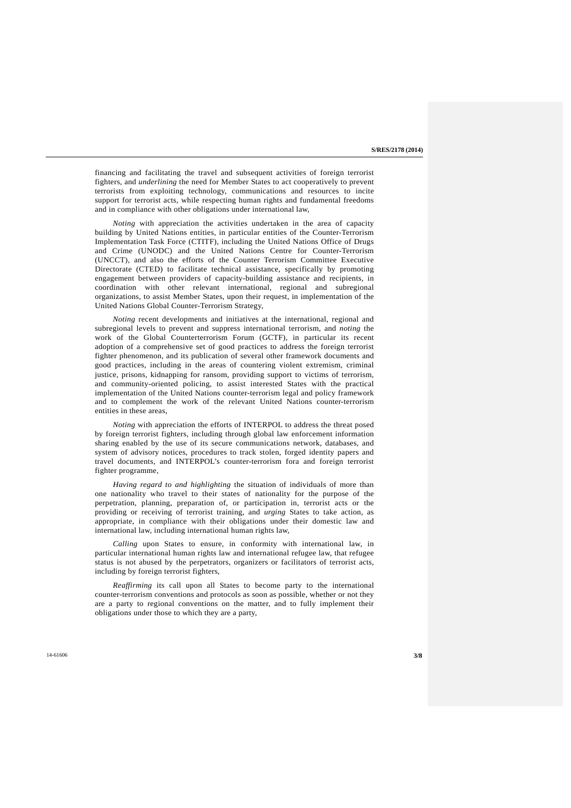financing and facilitating the travel and subsequent activities of foreign terrorist fighters, and *underlining* the need for Member States to act cooperatively to prevent terrorists from exploiting technology, communications and resources to incite support for terrorist acts, while respecting human rights and fundamental freedoms and in compliance with other obligations under international law,

*Noting* with appreciation the activities undertaken in the area of capacity building by United Nations entities, in particular entities of the Counter-Terrorism Implementation Task Force (CTITF), including the United Nations Office of Drugs and Crime (UNODC) and the United Nations Centre for Counter-Terrorism (UNCCT), and also the efforts of the Counter Terrorism Committee Executive Directorate (CTED) to facilitate technical assistance, specifically by promoting engagement between providers of capacity-building assistance and recipients, in coordination with other relevant international, regional and subregional organizations, to assist Member States, upon their request, in implementation of the United Nations Global Counter-Terrorism Strategy,

*Noting* recent developments and initiatives at the international, regional and subregional levels to prevent and suppress international terrorism, and *noting* the work of the Global Counterterrorism Forum (GCTF), in particular its recent adoption of a comprehensive set of good practices to address the foreign terrorist fighter phenomenon, and its publication of several other framework documents and good practices, including in the areas of countering violent extremism, criminal justice, prisons, kidnapping for ransom, providing support to victims of terrorism, and community-oriented policing, to assist interested States with the practical implementation of the United Nations counter-terrorism legal and policy framework and to complement the work of the relevant United Nations counter-terrorism entities in these areas,

*Noting* with appreciation the efforts of INTERPOL to address the threat posed by foreign terrorist fighters, including through global law enforcement information sharing enabled by the use of its secure communications network, databases, and system of advisory notices, procedures to track stolen, forged identity papers and travel documents, and INTERPOL's counter-terrorism fora and foreign terrorist fighter programme,

*Having regard to and highlighting* the situation of individuals of more than one nationality who travel to their states of nationality for the purpose of the perpetration, planning, preparation of, or participation in, terrorist acts or the providing or receiving of terrorist training, and *urging* States to take action, as appropriate, in compliance with their obligations under their domestic law and international law, including international human rights law,

*Calling* upon States to ensure, in conformity with international law, in particular international human rights law and international refugee law, that refugee status is not abused by the perpetrators, organizers or facilitators of terrorist acts, including by foreign terrorist fighters,

*Reaffirming* its call upon all States to become party to the international counter-terrorism conventions and protocols as soon as possible, whether or not they are a party to regional conventions on the matter, and to fully implement their obligations under those to which they are a party,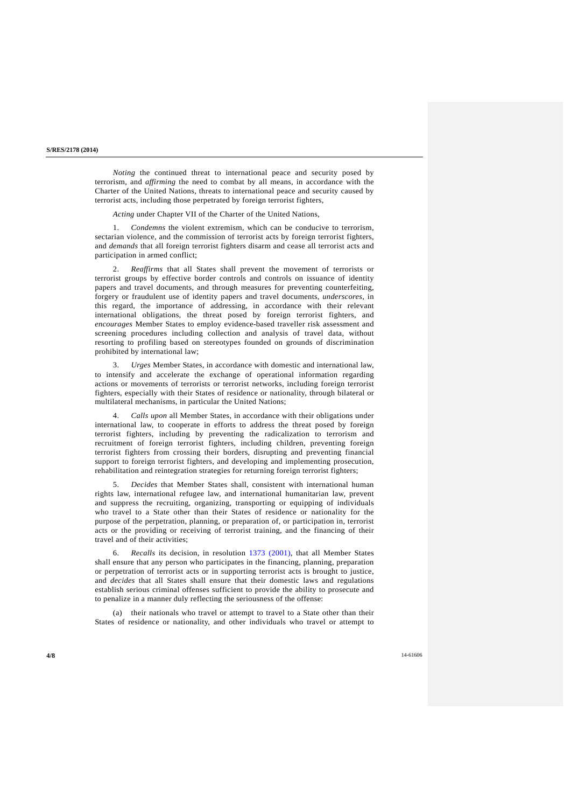#### **S/RES/2178 (2014)**

*Noting* the continued threat to international peace and security posed by terrorism, and *affirming* the need to combat by all means, in accordance with the Charter of the United Nations, threats to international peace and security caused by terrorist acts, including those perpetrated by foreign terrorist fighters,

*Acting* under Chapter VII of the Charter of the United Nations,

 1. *Condemns* the violent extremism, which can be conducive to terrorism, sectarian violence, and the commission of terrorist acts by foreign terrorist fighters, and *demands* that all foreign terrorist fighters disarm and cease all terrorist acts and participation in armed conflict;

 2. *Reaffirms* that all States shall prevent the movement of terrorists or terrorist groups by effective border controls and controls on issuance of identity papers and travel documents, and through measures for preventing counterfeiting, forgery or fraudulent use of identity papers and travel documents, *underscores*, in this regard, the importance of addressing, in accordance with their relevant international obligations, the threat posed by foreign terrorist fighters, and *encourages* Member States to employ evidence-based traveller risk assessment and screening procedures including collection and analysis of travel data, without resorting to profiling based on stereotypes founded on grounds of discrimination prohibited by international law;

 3. *Urges* Member States, in accordance with domestic and international law, to intensify and accelerate the exchange of operational information regarding actions or movements of terrorists or terrorist networks, including foreign terrorist fighters, especially with their States of residence or nationality, through bilateral or multilateral mechanisms, in particular the United Nations;

 4. *Calls upon* all Member States, in accordance with their obligations under international law, to cooperate in efforts to address the threat posed by foreign terrorist fighters, including by preventing the radicalization to terrorism and recruitment of foreign terrorist fighters, including children, preventing foreign terrorist fighters from crossing their borders, disrupting and preventing financial support to foreign terrorist fighters, and developing and implementing prosecution, rehabilitation and reintegration strategies for returning foreign terrorist fighters;

 5. *Decides* that Member States shall, consistent with international human rights law, international refugee law, and international humanitarian law, prevent and suppress the recruiting, organizing, transporting or equipping of individuals who travel to a State other than their States of residence or nationality for the purpose of the perpetration, planning, or preparation of, or participation in, terrorist acts or the providing or receiving of terrorist training, and the financing of their travel and of their activities;

 6. *Recalls* its decision, in resolution 1373 (2001), that all Member States shall ensure that any person who participates in the financing, planning, preparation or perpetration of terrorist acts or in supporting terrorist acts is brought to justice, and *decides* that all States shall ensure that their domestic laws and regulations establish serious criminal offenses sufficient to provide the ability to prosecute and to penalize in a manner duly reflecting the seriousness of the offense:

 (a) their nationals who travel or attempt to travel to a State other than their States of residence or nationality, and other individuals who travel or attempt to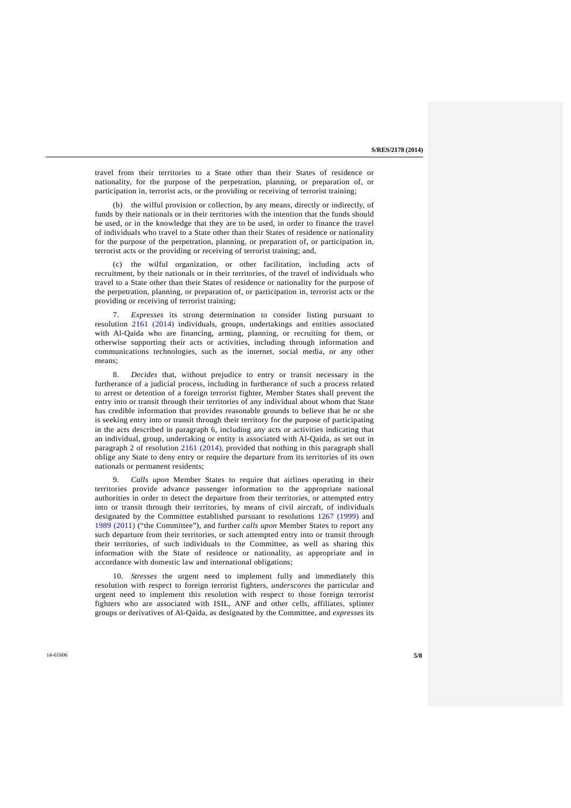travel from their territories to a State other than their States of residence or nationality, for the purpose of the perpetration, planning, or preparation of, or participation in, terrorist acts, or the providing or receiving of terrorist training;

 (b) the wilful provision or collection, by any means, directly or indirectly, of funds by their nationals or in their territories with the intention that the funds should be used, or in the knowledge that they are to be used, in order to finance the travel of individuals who travel to a State other than their States of residence or nationality for the purpose of the perpetration, planning, or preparation of, or participation in, terrorist acts or the providing or receiving of terrorist training; and,

 (c) the wilful organization, or other facilitation, including acts of recruitment, by their nationals or in their territories, of the travel of individuals who travel to a State other than their States of residence or nationality for the purpose of the perpetration, planning, or preparation of, or participation in, terrorist acts or the providing or receiving of terrorist training;

 7. *Expresses* its strong determination to consider listing pursuant to resolution 2161 (2014) individuals, groups, undertakings and entities associated with Al-Qaida who are financing, arming, planning, or recruiting for them, or otherwise supporting their acts or activities, including through information and communications technologies, such as the internet, social media, or any other means;

 8. *Decides* that, without prejudice to entry or transit necessary in the furtherance of a judicial process, including in furtherance of such a process related to arrest or detention of a foreign terrorist fighter, Member States shall prevent the entry into or transit through their territories of any individual about whom that State has credible information that provides reasonable grounds to believe that he or she is seeking entry into or transit through their territory for the purpose of participating in the acts described in paragraph 6, including any acts or activities indicating that an individual, group, undertaking or entity is associated with Al-Qaida, as set out in paragraph 2 of resolution 2161 (2014), provided that nothing in this paragraph shall oblige any State to deny entry or require the departure from its territories of its own nationals or permanent residents;

 9. *Calls upon* Member States to require that airlines operating in their territories provide advance passenger information to the appropriate national authorities in order to detect the departure from their territories, or attempted entry into or transit through their territories, by means of civil aircraft, of individuals designated by the Committee established pursuant to resolutions 1267 (1999) and 1989 (2011) ("the Committee"), and further *calls upon* Member States to report any such departure from their territories, or such attempted entry into or transit through their territories, of such individuals to the Committee, as well as sharing this information with the State of residence or nationality, as appropriate and in accordance with domestic law and international obligations;

 10. *Stresses* the urgent need to implement fully and immediately this resolution with respect to foreign terrorist fighters, *underscores* the particular and urgent need to implement this resolution with respect to those foreign terrorist fighters who are associated with ISIL, ANF and other cells, affiliates, splinter groups or derivatives of Al-Qaida, as designated by the Committee, and *expresses* its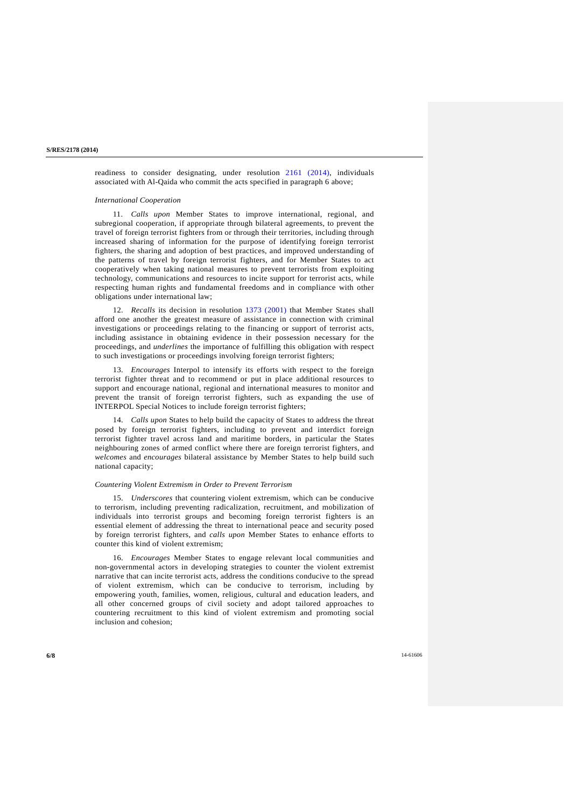#### **S/RES/2178 (2014)**

readiness to consider designating, under resolution 2161 (2014), individuals associated with Al-Qaida who commit the acts specified in paragraph 6 above;

#### *International Cooperation*

 11. *Calls upon* Member States to improve international, regional, and subregional cooperation, if appropriate through bilateral agreements, to prevent the travel of foreign terrorist fighters from or through their territories, including through increased sharing of information for the purpose of identifying foreign terrorist fighters, the sharing and adoption of best practices, and improved understanding of the patterns of travel by foreign terrorist fighters, and for Member States to act cooperatively when taking national measures to prevent terrorists from exploiting technology, communications and resources to incite support for terrorist acts, while respecting human rights and fundamental freedoms and in compliance with other obligations under international law;

 12. *Recalls* its decision in resolution 1373 (2001) that Member States shall afford one another the greatest measure of assistance in connection with criminal investigations or proceedings relating to the financing or support of terrorist acts, including assistance in obtaining evidence in their possession necessary for the proceedings, and *underlines* the importance of fulfilling this obligation with respect to such investigations or proceedings involving foreign terrorist fighters;

 13. *Encourages* Interpol to intensify its efforts with respect to the foreign terrorist fighter threat and to recommend or put in place additional resources to support and encourage national, regional and international measures to monitor and prevent the transit of foreign terrorist fighters, such as expanding the use of INTERPOL Special Notices to include foreign terrorist fighters;

 14. *Calls upon* States to help build the capacity of States to address the threat posed by foreign terrorist fighters, including to prevent and interdict foreign terrorist fighter travel across land and maritime borders, in particular the States neighbouring zones of armed conflict where there are foreign terrorist fighters, and *welcomes* and *encourages* bilateral assistance by Member States to help build such national capacity;

#### *Countering Violent Extremism in Order to Prevent Terrorism*

 15. *Underscores* that countering violent extremism, which can be conducive to terrorism, including preventing radicalization, recruitment, and mobilization of individuals into terrorist groups and becoming foreign terrorist fighters is an essential element of addressing the threat to international peace and security posed by foreign terrorist fighters, and *calls upon* Member States to enhance efforts to counter this kind of violent extremism;

 16. *Encourages* Member States to engage relevant local communities and non-governmental actors in developing strategies to counter the violent extremist narrative that can incite terrorist acts, address the conditions conducive to the spread of violent extremism, which can be conducive to terrorism, including by empowering youth, families, women, religious, cultural and education leaders, and all other concerned groups of civil society and adopt tailored approaches to countering recruitment to this kind of violent extremism and promoting social inclusion and cohesion;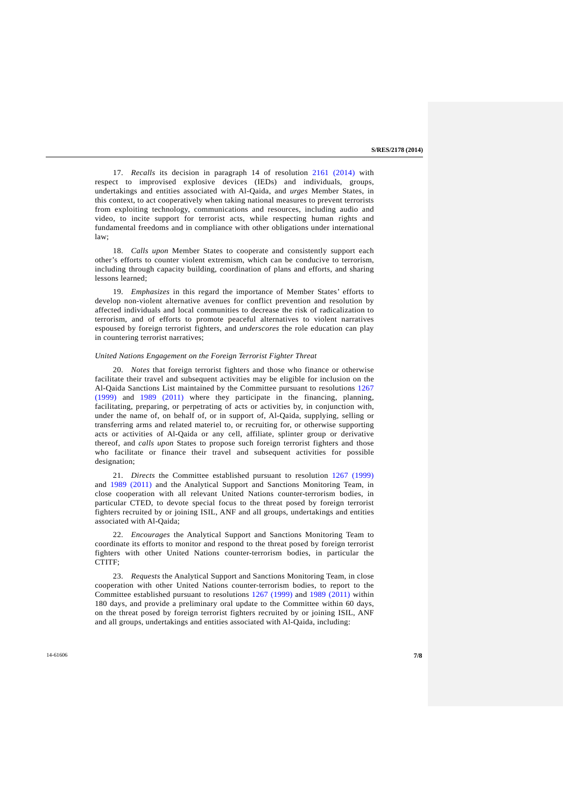17. *Recalls* its decision in paragraph 14 of resolution 2161 (2014) with respect to improvised explosive devices (IEDs) and individuals, groups, undertakings and entities associated with Al-Qaida, and *urges* Member States, in this context, to act cooperatively when taking national measures to prevent terrorists from exploiting technology, communications and resources, including audio and video, to incite support for terrorist acts, while respecting human rights and fundamental freedoms and in compliance with other obligations under international law;

 18. *Calls upon* Member States to cooperate and consistently support each other's efforts to counter violent extremism, which can be conducive to terrorism, including through capacity building, coordination of plans and efforts, and sharing lessons learned;

 19. *Emphasizes* in this regard the importance of Member States' efforts to develop non-violent alternative avenues for conflict prevention and resolution by affected individuals and local communities to decrease the risk of radicalization to terrorism, and of efforts to promote peaceful alternatives to violent narratives espoused by foreign terrorist fighters, and *underscores* the role education can play in countering terrorist narratives;

#### *United Nations Engagement on the Foreign Terrorist Fighter Threat*

 20. *Notes* that foreign terrorist fighters and those who finance or otherwise facilitate their travel and subsequent activities may be eligible for inclusion on the Al-Qaida Sanctions List maintained by the Committee pursuant to resolutions 1267 (1999) and 1989 (2011) where they participate in the financing, planning, facilitating, preparing, or perpetrating of acts or activities by, in conjunction with, under the name of, on behalf of, or in support of, Al-Qaida, supplying, selling or transferring arms and related materiel to, or recruiting for, or otherwise supporting acts or activities of Al-Qaida or any cell, affiliate, splinter group or derivative thereof, and *calls upon* States to propose such foreign terrorist fighters and those who facilitate or finance their travel and subsequent activities for possible designation;

 21. *Directs* the Committee established pursuant to resolution 1267 (1999) and 1989 (2011) and the Analytical Support and Sanctions Monitoring Team, in close cooperation with all relevant United Nations counter-terrorism bodies, in particular CTED, to devote special focus to the threat posed by foreign terrorist fighters recruited by or joining ISIL, ANF and all groups, undertakings and entities associated with Al-Qaida;

 22. *Encourages* the Analytical Support and Sanctions Monitoring Team to coordinate its efforts to monitor and respond to the threat posed by foreign terrorist fighters with other United Nations counter-terrorism bodies, in particular the CTITF;

 23. *Requests* the Analytical Support and Sanctions Monitoring Team, in close cooperation with other United Nations counter-terrorism bodies, to report to the Committee established pursuant to resolutions 1267 (1999) and 1989 (2011) within 180 days, and provide a preliminary oral update to the Committee within 60 days, on the threat posed by foreign terrorist fighters recruited by or joining ISIL, ANF and all groups, undertakings and entities associated with Al-Qaida, including: